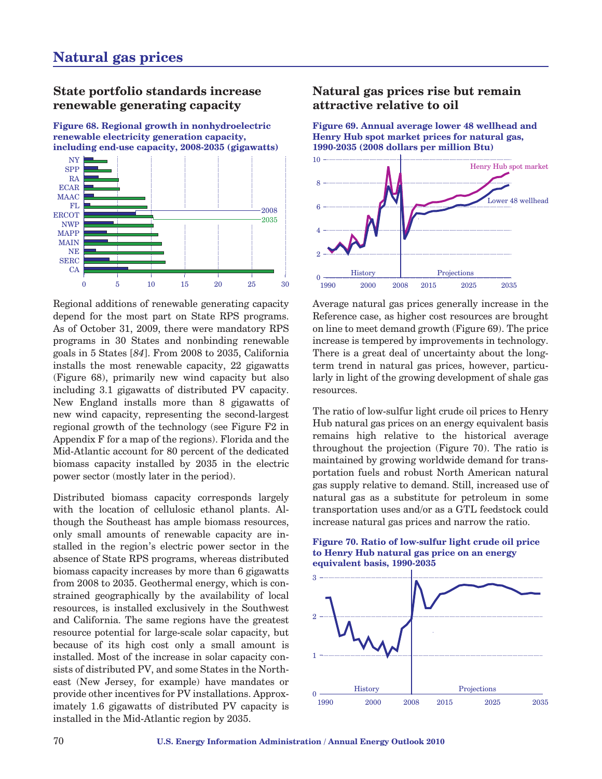## **State portfolio standards increase renewable generating capacity**

**Figure 68. Regional growth in nonhydroelectric renewable electricity generation capacity, including end-use capacity, 2008-2035 (gigawatts)**



Regional additions of renewable generating capacity depend for the most part on State RPS programs. As of October 31, 2009, there were mandatory RPS programs in 30 States and nonbinding renewable goals in 5 States [*84*]. From 2008 to 2035, California installs the most renewable capacity, 22 gigawatts (Figure 68), primarily new wind capacity but also including 3.1 gigawatts of distributed PV capacity. New England installs more than 8 gigawatts of new wind capacity, representing the second-largest regional growth of the technology (see Figure F2 in Appendix F for a map of the regions). Florida and the Mid-Atlantic account for 80 percent of the dedicated biomass capacity installed by 2035 in the electric power sector (mostly later in the period).

Distributed biomass capacity corresponds largely with the location of cellulosic ethanol plants. Although the Southeast has ample biomass resources, only small amounts of renewable capacity are installed in the region's electric power sector in the absence of State RPS programs, whereas distributed biomass capacity increases by more than 6 gigawatts from 2008 to 2035. Geothermal energy, which is constrained geographically by the availability of local resources, is installed exclusively in the Southwest and California. The same regions have the greatest resource potential for large-scale solar capacity, but because of its high cost only a small amount is installed. Most of the increase in solar capacity consists of distributed PV, and some States in the Northeast (New Jersey, for example) have mandates or provide other incentives for PV installations. Approximately 1.6 gigawatts of distributed PV capacity is installed in the Mid-Atlantic region by 2035.

## **Natural gas prices rise but remain attractive relative to oil**

**Figure 69. Annual average lower 48 wellhead and Henry Hub spot market prices for natural gas, 1990-2035 (2008 dollars per million Btu)**



Average natural gas prices generally increase in the Reference case, as higher cost resources are brought on line to meet demand growth (Figure 69). The price increase is tempered by improvements in technology. There is a great deal of uncertainty about the longterm trend in natural gas prices, however, particularly in light of the growing development of shale gas resources.

The ratio of low-sulfur light crude oil prices to Henry Hub natural gas prices on an energy equivalent basis remains high relative to the historical average throughout the projection (Figure 70). The ratio is maintained by growing worldwide demand for transportation fuels and robust North American natural gas supply relative to demand. Still, increased use of natural gas as a substitute for petroleum in some transportation uses and/or as a GTL feedstock could increase natural gas prices and narrow the ratio.



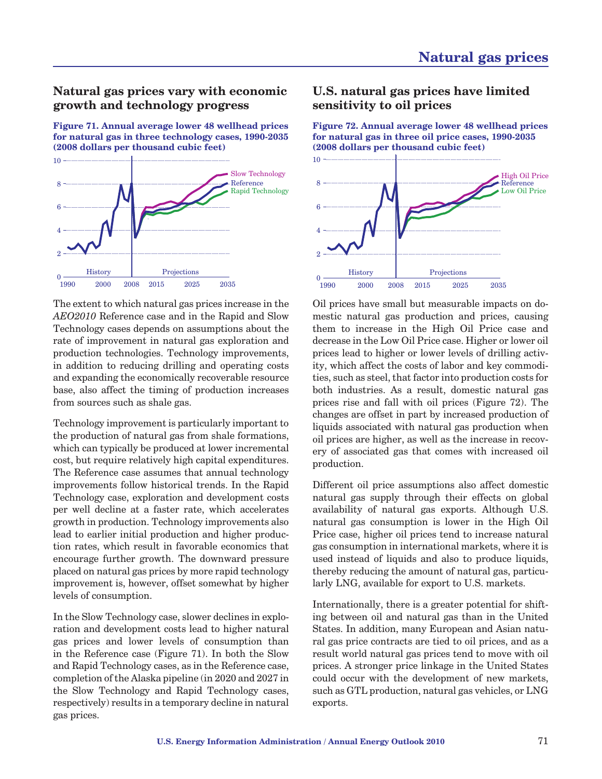## **Natural gas prices vary with economic growth and technology progress**

**Figure 71. Annual average lower 48 wellhead prices for natural gas in three technology cases, 1990-2035 (2008 dollars per thousand cubic feet)**



The extent to which natural gas prices increase in the *AEO2010* Reference case and in the Rapid and Slow Technology cases depends on assumptions about the rate of improvement in natural gas exploration and production technologies. Technology improvements, in addition to reducing drilling and operating costs and expanding the economically recoverable resource base, also affect the timing of production increases from sources such as shale gas.

Technology improvement is particularly important to the production of natural gas from shale formations, which can typically be produced at lower incremental cost, but require relatively high capital expenditures. The Reference case assumes that annual technology improvements follow historical trends. In the Rapid Technology case, exploration and development costs per well decline at a faster rate, which accelerates growth in production. Technology improvements also lead to earlier initial production and higher production rates, which result in favorable economics that encourage further growth. The downward pressure placed on natural gas prices by more rapid technology improvement is, however, offset somewhat by higher levels of consumption.

In the Slow Technology case, slower declines in exploration and development costs lead to higher natural gas prices and lower levels of consumption than in the Reference case (Figure 71). In both the Slow and Rapid Technology cases, as in the Reference case, completion of the Alaska pipeline (in 2020 and 2027 in the Slow Technology and Rapid Technology cases, respectively) results in a temporary decline in natural gas prices.

### **U.S. natural gas prices have limited sensitivity to oil prices**

**Figure 72. Annual average lower 48 wellhead prices for natural gas in three oil price cases, 1990-2035 (2008 dollars per thousand cubic feet)**



Oil prices have small but measurable impacts on domestic natural gas production and prices, causing them to increase in the High Oil Price case and decrease in the Low Oil Price case. Higher or lower oil prices lead to higher or lower levels of drilling activity, which affect the costs of labor and key commodities, such as steel, that factor into production costs for both industries. As a result, domestic natural gas prices rise and fall with oil prices (Figure 72). The changes are offset in part by increased production of liquids associated with natural gas production when oil prices are higher, as well as the increase in recovery of associated gas that comes with increased oil production.

Different oil price assumptions also affect domestic natural gas supply through their effects on global availability of natural gas exports. Although U.S. natural gas consumption is lower in the High Oil Price case, higher oil prices tend to increase natural gas consumption in international markets, where it is used instead of liquids and also to produce liquids, thereby reducing the amount of natural gas, particularly LNG, available for export to U.S. markets.

Internationally, there is a greater potential for shifting between oil and natural gas than in the United States. In addition, many European and Asian natural gas price contracts are tied to oil prices, and as a result world natural gas prices tend to move with oil prices. A stronger price linkage in the United States could occur with the development of new markets, such as GTL production, natural gas vehicles, or LNG exports.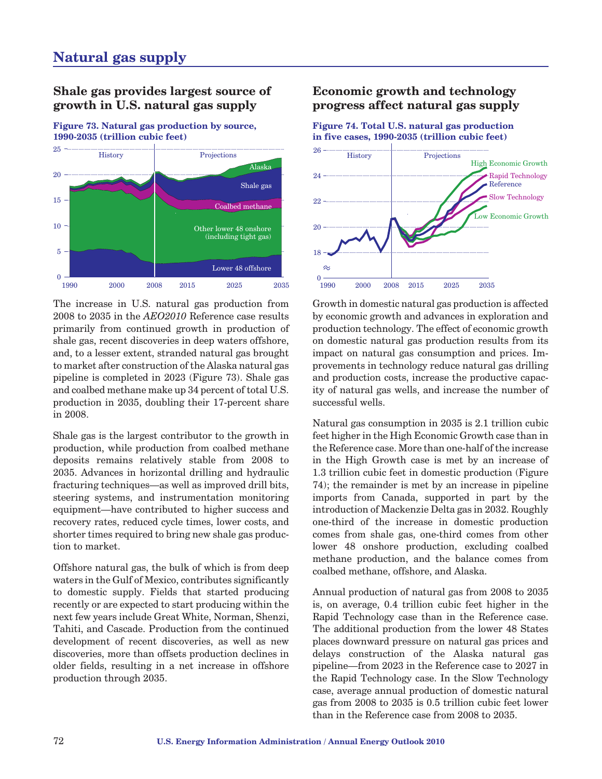# **Shale gas provides largest source of growth in U.S. natural gas supply**

**Figure 73. Natural gas production by source, 1990-2035 (trillion cubic feet)**



The increase in U.S. natural gas production from 2008 to 2035 in the *AEO2010* Reference case results primarily from continued growth in production of shale gas, recent discoveries in deep waters offshore, and, to a lesser extent, stranded natural gas brought to market after construction of the Alaska natural gas pipeline is completed in 2023 (Figure 73). Shale gas and coalbed methane make up 34 percent of total U.S. production in 2035, doubling their 17-percent share in 2008.

Shale gas is the largest contributor to the growth in production, while production from coalbed methane deposits remains relatively stable from 2008 to 2035. Advances in horizontal drilling and hydraulic fracturing techniques—as well as improved drill bits, steering systems, and instrumentation monitoring equipment—have contributed to higher success and recovery rates, reduced cycle times, lower costs, and shorter times required to bring new shale gas production to market.

Offshore natural gas, the bulk of which is from deep waters in the Gulf of Mexico, contributes significantly to domestic supply. Fields that started producing recently or are expected to start producing within the next few years include Great White, Norman, Shenzi, Tahiti, and Cascade. Production from the continued development of recent discoveries, as well as new discoveries, more than offsets production declines in older fields, resulting in a net increase in offshore production through 2035.

# **Economic growth and technology progress affect natural gas supply**

**Figure 74. Total U.S. natural gas production in five cases, 1990-2035 (trillion cubic feet)**



Growth in domestic natural gas production is affected by economic growth and advances in exploration and production technology. The effect of economic growth on domestic natural gas production results from its impact on natural gas consumption and prices. Improvements in technology reduce natural gas drilling and production costs, increase the productive capacity of natural gas wells, and increase the number of successful wells.

Natural gas consumption in 2035 is 2.1 trillion cubic feet higher in the High Economic Growth case than in the Reference case. More than one-half of the increase in the High Growth case is met by an increase of 1.3 trillion cubic feet in domestic production (Figure 74); the remainder is met by an increase in pipeline imports from Canada, supported in part by the introduction of Mackenzie Delta gas in 2032. Roughly one-third of the increase in domestic production comes from shale gas, one-third comes from other lower 48 onshore production, excluding coalbed methane production, and the balance comes from coalbed methane, offshore, and Alaska.

Annual production of natural gas from 2008 to 2035 is, on average, 0.4 trillion cubic feet higher in the Rapid Technology case than in the Reference case. The additional production from the lower 48 States places downward pressure on natural gas prices and delays construction of the Alaska natural gas pipeline—from 2023 in the Reference case to 2027 in the Rapid Technology case. In the Slow Technology case, average annual production of domestic natural gas from 2008 to 2035 is 0.5 trillion cubic feet lower than in the Reference case from 2008 to 2035.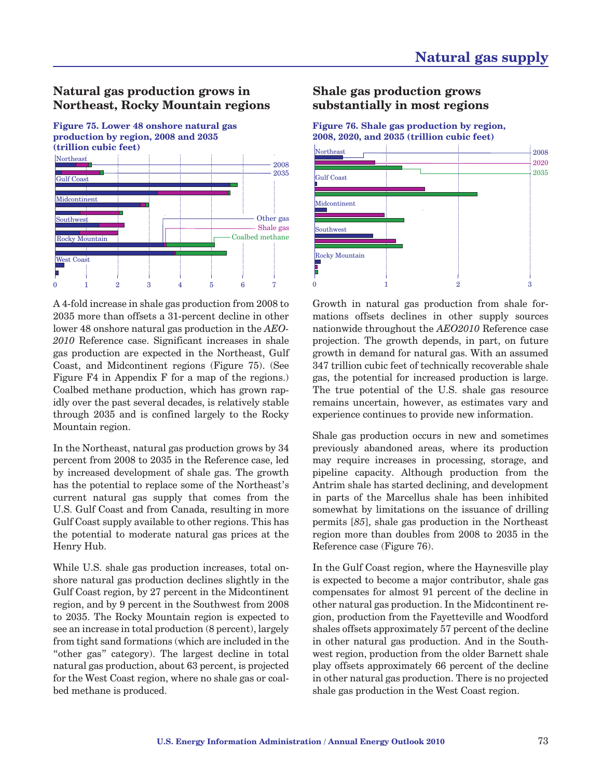# **Natural gas production grows in Northeast, Rocky Mountain regions**



A 4-fold increase in shale gas production from 2008 to 2035 more than offsets a 31-percent decline in other lower 48 onshore natural gas production in the *AEO-2010* Reference case. Significant increases in shale gas production are expected in the Northeast, Gulf Coast, and Midcontinent regions (Figure 75). (See Figure F4 in Appendix F for a map of the regions.) Coalbed methane production, which has grown rapidly over the past several decades, is relatively stable through 2035 and is confined largely to the Rocky Mountain region.

In the Northeast, natural gas production grows by 34 percent from 2008 to 2035 in the Reference case, led by increased development of shale gas. The growth has the potential to replace some of the Northeast's current natural gas supply that comes from the U.S. Gulf Coast and from Canada, resulting in more Gulf Coast supply available to other regions. This has the potential to moderate natural gas prices at the Henry Hub.

While U.S. shale gas production increases, total onshore natural gas production declines slightly in the Gulf Coast region, by 27 percent in the Midcontinent region, and by 9 percent in the Southwest from 2008 to 2035. The Rocky Mountain region is expected to see an increase in total production (8 percent), largely from tight sand formations (which are included in the "other gas" category). The largest decline in total natural gas production, about 63 percent, is projected for the West Coast region, where no shale gas or coalbed methane is produced.

## **Shale gas production grows substantially in most regions**

**Figure 76. Shale gas production by region, 2008, 2020, and 2035 (trillion cubic feet)**



Growth in natural gas production from shale formations offsets declines in other supply sources nationwide throughout the *AEO2010* Reference case projection. The growth depends, in part, on future growth in demand for natural gas. With an assumed 347 trillion cubic feet of technically recoverable shale gas, the potential for increased production is large. The true potential of the U.S. shale gas resource remains uncertain, however, as estimates vary and experience continues to provide new information.

Shale gas production occurs in new and sometimes previously abandoned areas, where its production may require increases in processing, storage, and pipeline capacity. Although production from the Antrim shale has started declining, and development in parts of the Marcellus shale has been inhibited somewhat by limitations on the issuance of drilling permits [*85*], shale gas production in the Northeast region more than doubles from 2008 to 2035 in the Reference case (Figure 76).

In the Gulf Coast region, where the Haynesville play is expected to become a major contributor, shale gas compensates for almost 91 percent of the decline in other natural gas production. In the Midcontinent region, production from the Fayetteville and Woodford shales offsets approximately 57 percent of the decline in other natural gas production. And in the Southwest region, production from the older Barnett shale play offsets approximately 66 percent of the decline in other natural gas production. There is no projected shale gas production in the West Coast region.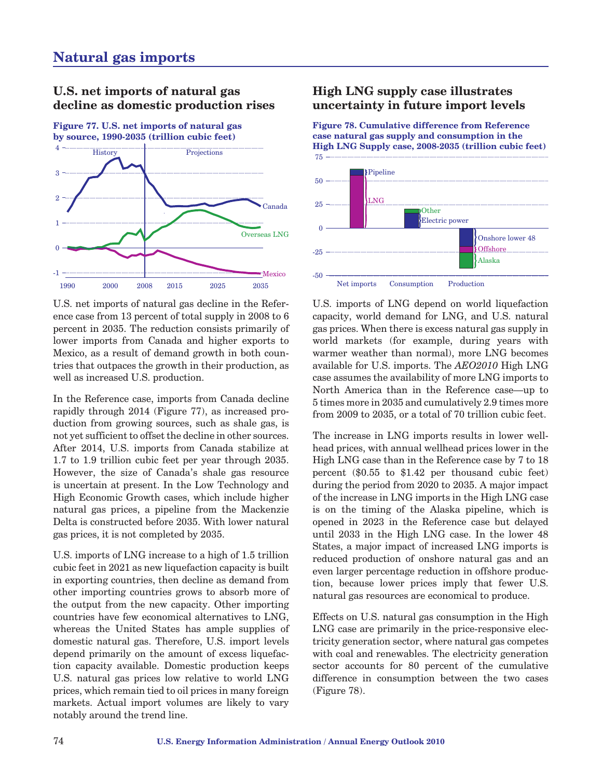# **U.S. net imports of natural gas decline as domestic production rises**

**Figure 77. U.S. net imports of natural gas by source, 1990-2035 (trillion cubic feet)**



U.S. net imports of natural gas decline in the Reference case from 13 percent of total supply in 2008 to 6 percent in 2035. The reduction consists primarily of lower imports from Canada and higher exports to Mexico, as a result of demand growth in both countries that outpaces the growth in their production, as well as increased U.S. production.

In the Reference case, imports from Canada decline rapidly through 2014 (Figure 77), as increased production from growing sources, such as shale gas, is not yet sufficient to offset the decline in other sources. After 2014, U.S. imports from Canada stabilize at 1.7 to 1.9 trillion cubic feet per year through 2035. However, the size of Canada's shale gas resource is uncertain at present. In the Low Technology and High Economic Growth cases, which include higher natural gas prices, a pipeline from the Mackenzie Delta is constructed before 2035. With lower natural gas prices, it is not completed by 2035.

U.S. imports of LNG increase to a high of 1.5 trillion cubic feet in 2021 as new liquefaction capacity is built in exporting countries, then decline as demand from other importing countries grows to absorb more of the output from the new capacity. Other importing countries have few economical alternatives to LNG, whereas the United States has ample supplies of domestic natural gas. Therefore, U.S. import levels depend primarily on the amount of excess liquefaction capacity available. Domestic production keeps U.S. natural gas prices low relative to world LNG prices, which remain tied to oil prices in many foreign markets. Actual import volumes are likely to vary notably around the trend line.

# **High LNG supply case illustrates uncertainty in future import levels**

**Figure 78. Cumulative difference from Reference case natural gas supply and consumption in the High LNG Supply case, 2008-2035 (trillion cubic feet)**



U.S. imports of LNG depend on world liquefaction capacity, world demand for LNG, and U.S. natural gas prices. When there is excess natural gas supply in world markets (for example, during years with warmer weather than normal), more LNG becomes available for U.S. imports. The *AEO2010* High LNG case assumes the availability of more LNG imports to North America than in the Reference case—up to 5 times more in 2035 and cumulatively 2.9 times more from 2009 to 2035, or a total of 70 trillion cubic feet.

The increase in LNG imports results in lower wellhead prices, with annual wellhead prices lower in the High LNG case than in the Reference case by 7 to 18 percent (\$0.55 to \$1.42 per thousand cubic feet) during the period from 2020 to 2035. A major impact of the increase in LNG imports in the High LNG case is on the timing of the Alaska pipeline, which is opened in 2023 in the Reference case but delayed until 2033 in the High LNG case. In the lower 48 States, a major impact of increased LNG imports is reduced production of onshore natural gas and an even larger percentage reduction in offshore production, because lower prices imply that fewer U.S. natural gas resources are economical to produce.

Effects on U.S. natural gas consumption in the High LNG case are primarily in the price-responsive electricity generation sector, where natural gas competes with coal and renewables. The electricity generation sector accounts for 80 percent of the cumulative difference in consumption between the two cases (Figure 78).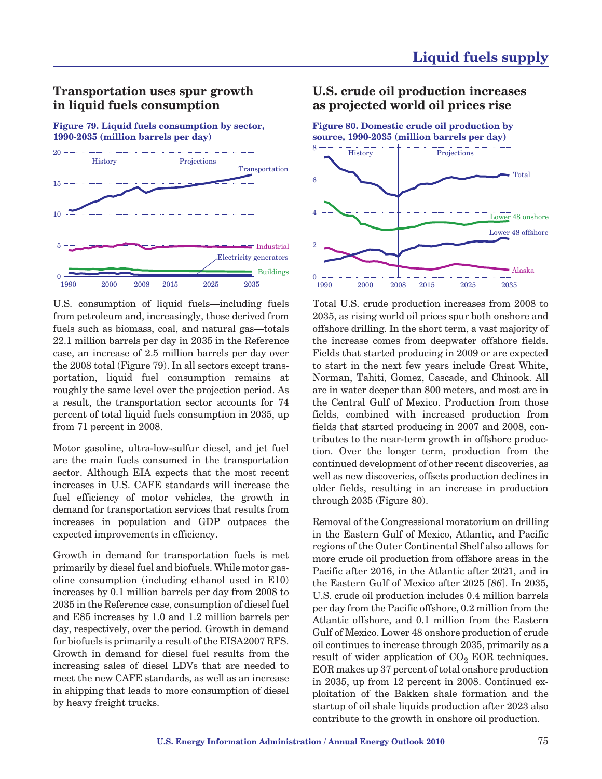### **Transportation uses spur growth in liquid fuels consumption**

**Figure 79. Liquid fuels consumption by sector, 1990-2035 (million barrels per day)**



U.S. consumption of liquid fuels—including fuels from petroleum and, increasingly, those derived from fuels such as biomass, coal, and natural gas—totals 22.1 million barrels per day in 2035 in the Reference case, an increase of 2.5 million barrels per day over the 2008 total (Figure 79). In all sectors except transportation, liquid fuel consumption remains at roughly the same level over the projection period. As a result, the transportation sector accounts for 74 percent of total liquid fuels consumption in 2035, up from 71 percent in 2008.

Motor gasoline, ultra-low-sulfur diesel, and jet fuel are the main fuels consumed in the transportation sector. Although EIA expects that the most recent increases in U.S. CAFE standards will increase the fuel efficiency of motor vehicles, the growth in demand for transportation services that results from increases in population and GDP outpaces the expected improvements in efficiency.

Growth in demand for transportation fuels is met primarily by diesel fuel and biofuels. While motor gasoline consumption (including ethanol used in E10) increases by 0.1 million barrels per day from 2008 to 2035 in the Reference case, consumption of diesel fuel and E85 increases by 1.0 and 1.2 million barrels per day, respectively, over the period. Growth in demand for biofuels is primarily a result of the EISA2007 RFS. Growth in demand for diesel fuel results from the increasing sales of diesel LDVs that are needed to meet the new CAFE standards, as well as an increase in shipping that leads to more consumption of diesel by heavy freight trucks.

### **U.S. crude oil production increases as projected world oil prices rise**

**Figure 80. Domestic crude oil production by source, 1990-2035 (million barrels per day)**



Total U.S. crude production increases from 2008 to 2035, as rising world oil prices spur both onshore and offshore drilling. In the short term, a vast majority of the increase comes from deepwater offshore fields. Fields that started producing in 2009 or are expected to start in the next few years include Great White, Norman, Tahiti, Gomez, Cascade, and Chinook. All are in water deeper than 800 meters, and most are in the Central Gulf of Mexico. Production from those fields, combined with increased production from fields that started producing in 2007 and 2008, contributes to the near-term growth in offshore production. Over the longer term, production from the continued development of other recent discoveries, as well as new discoveries, offsets production declines in older fields, resulting in an increase in production through 2035 (Figure 80).

Removal of the Congressional moratorium on drilling in the Eastern Gulf of Mexico, Atlantic, and Pacific regions of the Outer Continental Shelf also allows for more crude oil production from offshore areas in the Pacific after 2016, in the Atlantic after 2021, and in the Eastern Gulf of Mexico after 2025 [*86*]. In 2035, U.S. crude oil production includes 0.4 million barrels per day from the Pacific offshore, 0.2 million from the Atlantic offshore, and 0.1 million from the Eastern Gulf of Mexico. Lower 48 onshore production of crude oil continues to increase through 2035, primarily as a result of wider application of  $CO<sub>2</sub> EOR$  techniques. EOR makes up 37 percent of total onshore production in 2035, up from 12 percent in 2008. Continued exploitation of the Bakken shale formation and the startup of oil shale liquids production after 2023 also contribute to the growth in onshore oil production.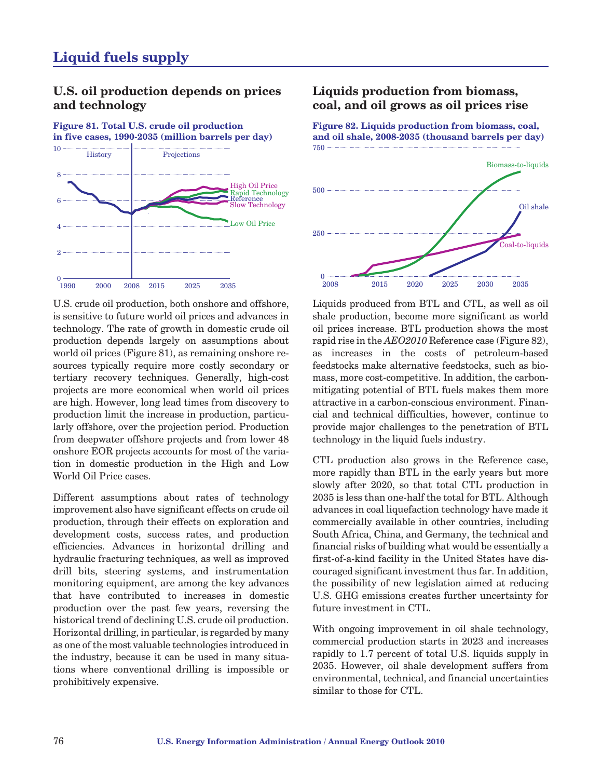## **U.S. oil production depends on prices and technology**

**Figure 81. Total U.S. crude oil production in five cases, 1990-2035 (million barrels per day)**



U.S. crude oil production, both onshore and offshore, is sensitive to future world oil prices and advances in technology. The rate of growth in domestic crude oil production depends largely on assumptions about world oil prices (Figure 81), as remaining onshore resources typically require more costly secondary or tertiary recovery techniques. Generally, high-cost projects are more economical when world oil prices are high. However, long lead times from discovery to production limit the increase in production, particularly offshore, over the projection period. Production from deepwater offshore projects and from lower 48 onshore EOR projects accounts for most of the variation in domestic production in the High and Low World Oil Price cases.

Different assumptions about rates of technology improvement also have significant effects on crude oil production, through their effects on exploration and development costs, success rates, and production efficiencies. Advances in horizontal drilling and hydraulic fracturing techniques, as well as improved drill bits, steering systems, and instrumentation monitoring equipment, are among the key advances that have contributed to increases in domestic production over the past few years, reversing the historical trend of declining U.S. crude oil production. Horizontal drilling, in particular, is regarded by many as one of the most valuable technologies introduced in the industry, because it can be used in many situations where conventional drilling is impossible or prohibitively expensive.

## **Liquids production from biomass, coal, and oil grows as oil prices rise**

**Figure 82. Liquids production from biomass, coal, and oil shale, 2008-2035 (thousand barrels per day)** 750



Liquids produced from BTL and CTL, as well as oil shale production, become more significant as world oil prices increase. BTL production shows the most rapid rise in the *AEO2010* Reference case (Figure 82), as increases in the costs of petroleum-based feedstocks make alternative feedstocks, such as biomass, more cost-competitive. In addition, the carbonmitigating potential of BTL fuels makes them more attractive in a carbon-conscious environment. Financial and technical difficulties, however, continue to provide major challenges to the penetration of BTL technology in the liquid fuels industry.

CTL production also grows in the Reference case, more rapidly than BTL in the early years but more slowly after 2020, so that total CTL production in 2035 is less than one-half the total for BTL. Although advances in coal liquefaction technology have made it commercially available in other countries, including South Africa, China, and Germany, the technical and financial risks of building what would be essentially a first-of-a-kind facility in the United States have discouraged significant investment thus far. In addition, the possibility of new legislation aimed at reducing U.S. GHG emissions creates further uncertainty for future investment in CTL.

With ongoing improvement in oil shale technology, commercial production starts in 2023 and increases rapidly to 1.7 percent of total U.S. liquids supply in 2035. However, oil shale development suffers from environmental, technical, and financial uncertainties similar to those for CTL.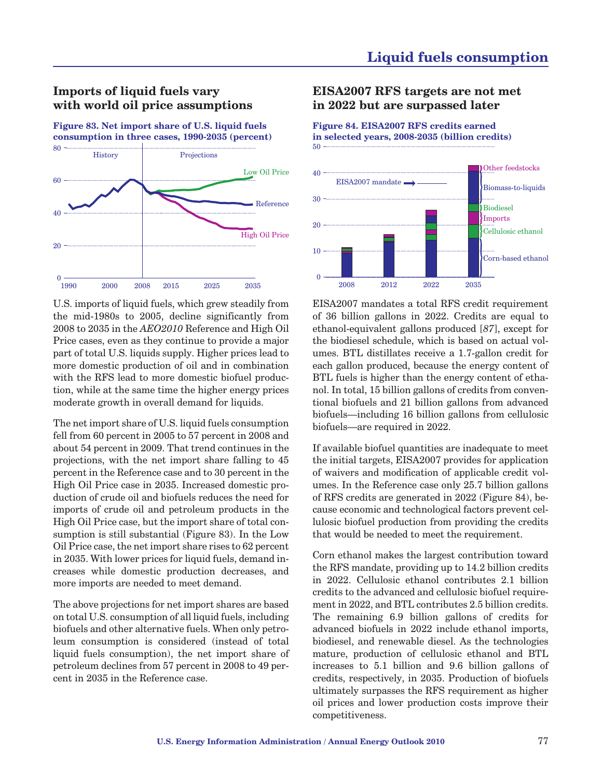# **Imports of liquid fuels vary with world oil price assumptions**

**Figure 83. Net import share of U.S. liquid fuels consumption in three cases, 1990-2035 (percent)**



U.S. imports of liquid fuels, which grew steadily from the mid-1980s to 2005, decline significantly from 2008 to 2035 in the *AEO2010* Reference and High Oil Price cases, even as they continue to provide a major part of total U.S. liquids supply. Higher prices lead to more domestic production of oil and in combination with the RFS lead to more domestic biofuel production, while at the same time the higher energy prices moderate growth in overall demand for liquids.

The net import share of U.S. liquid fuels consumption fell from 60 percent in 2005 to 57 percent in 2008 and about 54 percent in 2009. That trend continues in the projections, with the net import share falling to 45 percent in the Reference case and to 30 percent in the High Oil Price case in 2035. Increased domestic production of crude oil and biofuels reduces the need for imports of crude oil and petroleum products in the High Oil Price case, but the import share of total consumption is still substantial (Figure 83). In the Low Oil Price case, the net import share rises to 62 percent in 2035. With lower prices for liquid fuels, demand increases while domestic production decreases, and more imports are needed to meet demand.

The above projections for net import shares are based on total U.S. consumption of all liquid fuels, including biofuels and other alternative fuels. When only petroleum consumption is considered (instead of total liquid fuels consumption), the net import share of petroleum declines from 57 percent in 2008 to 49 percent in 2035 in the Reference case.

### **EISA2007 RFS targets are not met in 2022 but are surpassed later**

**Figure 84. EISA2007 RFS credits earned in selected years, 2008-2035 (billion credits)** 50



EISA2007 mandates a total RFS credit requirement of 36 billion gallons in 2022. Credits are equal to ethanol-equivalent gallons produced [*87*], except for the biodiesel schedule, which is based on actual volumes. BTL distillates receive a 1.7-gallon credit for each gallon produced, because the energy content of BTL fuels is higher than the energy content of ethanol. In total, 15 billion gallons of credits from conventional biofuels and 21 billion gallons from advanced biofuels—including 16 billion gallons from cellulosic biofuels—are required in 2022.

If available biofuel quantities are inadequate to meet the initial targets, EISA2007 provides for application of waivers and modification of applicable credit volumes. In the Reference case only 25.7 billion gallons of RFS credits are generated in 2022 (Figure 84), because economic and technological factors prevent cellulosic biofuel production from providing the credits that would be needed to meet the requirement.

Corn ethanol makes the largest contribution toward the RFS mandate, providing up to 14.2 billion credits in 2022. Cellulosic ethanol contributes 2.1 billion credits to the advanced and cellulosic biofuel requirement in 2022, and BTL contributes 2.5 billion credits. The remaining 6.9 billion gallons of credits for advanced biofuels in 2022 include ethanol imports, biodiesel, and renewable diesel. As the technologies mature, production of cellulosic ethanol and BTL increases to 5.1 billion and 9.6 billion gallons of credits, respectively, in 2035. Production of biofuels ultimately surpasses the RFS requirement as higher oil prices and lower production costs improve their competitiveness.